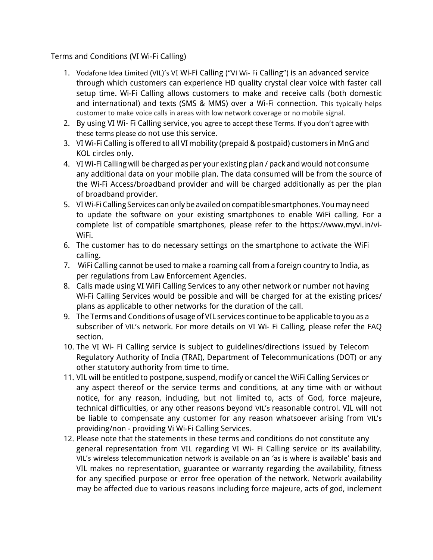Terms and Conditions (VI Wi-Fi Calling)

- 1. Vodafone Idea Limited (VIL)'s VI Wi-Fi Calling ("VI Wi- Fi Calling") is an advanced service through which customers can experience HD quality crystal clear voice with faster call setup time. Wi-Fi Calling allows customers to make and receive calls (both domestic and international) and texts (SMS & MMS) over a Wi-Fi connection. This typically helps customer to make voice calls in areas with low network coverage or no mobile signal.
- 2. By using VI Wi- Fi Calling service, you agree to accept these Terms. If you don't agree with these terms please do not use this service.
- 3. VI Wi-Fi Calling is offered to all VI mobility (prepaid & postpaid) customers in MnG and KOL circles only.
- 4. VI Wi-Fi Calling will be charged as per your existing plan / pack and would not consume any additional data on your mobile plan. The data consumed will be from the source of the Wi-Fi Access/broadband provider and will be charged additionally as per the plan of broadband provider.
- 5. VI Wi-Fi Calling Services can only be availed on compatible smartphones. You may need to update the software on your existing smartphones to enable WiFi calling. For a complete list of compatible smartphones, please refer to the https://www.myvi.in/vi-WiFi.
- 6. The customer has to do necessary settings on the smartphone to activate the WiFi calling.
- 7. WiFi Calling cannot be used to make a roaming call from a foreign country to India, as per regulations from Law Enforcement Agencies.
- 8. Calls made using VI WiFi Calling Services to any other network or number not having Wi-Fi Calling Services would be possible and will be charged for at the existing prices/ plans as applicable to other networks for the duration of the call.
- 9. The Terms and Conditions of usage of VIL services continue to be applicable to you as a subscriber of VIL's network. For more details on VI Wi- Fi Calling, please refer the FAQ section.
- 10. The VI Wi- Fi Calling service is subject to guidelines/directions issued by Telecom Regulatory Authority of India (TRAI), Department of Telecommunications (DOT) or any other statutory authority from time to time.
- 11. VIL will be entitled to postpone, suspend, modify or cancel the WiFi Calling Services or any aspect thereof or the service terms and conditions, at any time with or without notice, for any reason, including, but not limited to, acts of God, force majeure, technical difficulties, or any other reasons beyond VIL's reasonable control. VIL will not be liable to compensate any customer for any reason whatsoever arising from VIL's providing/non - providing Vi Wi-Fi Calling Services.
- 12. Please note that the statements in these terms and conditions do not constitute any general representation from VIL regarding VI Wi- Fi Calling service or its availability. VIL's wireless telecommunication network is available on an 'as is where is available' basis and VIL makes no representation, guarantee or warranty regarding the availability, fitness for any specified purpose or error free operation of the network. Network availability may be affected due to various reasons including force majeure, acts of god, inclement